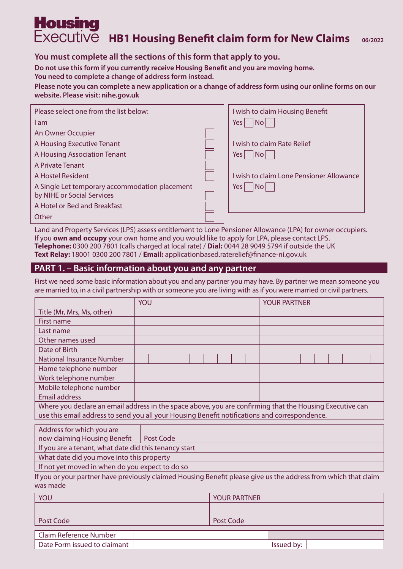# **Housing** Executive **HB1 Housing Benefit claim form for New Claims** 06/2022

# **You must complete all the sections of this form that apply to you.**

**Do not use this form if you currently receive Housing Benefit and you are moving home.** 

**You need to complete a change of address form instead.** 

**Please note you can complete a new application or a change of address form using our online forms on our website. Please visit: nihe.gov.uk** 

| Please select one from the list below:         | I wish to claim Housing Benefit          |
|------------------------------------------------|------------------------------------------|
| I am                                           | Yes l<br>No.                             |
| An Owner Occupier                              |                                          |
| A Housing Executive Tenant                     | I wish to claim Rate Relief              |
| A Housing Association Tenant                   | Yes l<br>No l                            |
| A Private Tenant                               |                                          |
| A Hostel Resident                              | I wish to claim Lone Pensioner Allowance |
| A Single Let temporary accommodation placement | Yes<br>No.                               |
| by NIHE or Social Services                     |                                          |
| A Hotel or Bed and Breakfast                   |                                          |
| Other                                          |                                          |

Land and Property Services (LPS) assess entitlement to Lone Pensioner Allowance (LPA) for owner occupiers. If you **own and occupy** your own home and you would like to apply for LPA, please contact LPS. **Telephone:** 0300 200 7801 (calls charged at local rate) / **Dial:** 0044 28 9049 5794 if outside the UK **Text Relay:** 18001 0300 200 7801 / **Email:** applicationbased.raterelief@finance-ni.gov.uk

# **PART 1. – Basic information about you and any partner**

First we need some basic information about you and any partner you may have. By partner we mean someone you are married to, in a civil partnership with or someone you are living with as if you were married or civil partners.

|                                                       | YOU                                                                                                             | <b>YOUR PARTNER</b> |
|-------------------------------------------------------|-----------------------------------------------------------------------------------------------------------------|---------------------|
| Title (Mr, Mrs, Ms, other)                            |                                                                                                                 |                     |
| First name                                            |                                                                                                                 |                     |
| Last name                                             |                                                                                                                 |                     |
| Other names used                                      |                                                                                                                 |                     |
| Date of Birth                                         |                                                                                                                 |                     |
| <b>National Insurance Number</b>                      |                                                                                                                 |                     |
| Home telephone number                                 |                                                                                                                 |                     |
| Work telephone number                                 |                                                                                                                 |                     |
| Mobile telephone number                               |                                                                                                                 |                     |
| <b>Email address</b>                                  |                                                                                                                 |                     |
|                                                       | Where you declare an email address in the space above, you are confirming that the Housing Executive can        |                     |
|                                                       | use this email address to send you all your Housing Benefit notifications and correspondence.                   |                     |
| Address for which you are                             |                                                                                                                 |                     |
| now claiming Housing Benefit                          | Post Code                                                                                                       |                     |
| If you are a tenant, what date did this tenancy start |                                                                                                                 |                     |
| What date did you move into this property             |                                                                                                                 |                     |
| If not yet moved in when do you expect to do so       |                                                                                                                 |                     |
|                                                       | If you or your partner have previously claimed Housing Benefit please give us the address from which that claim |                     |
| was made                                              |                                                                                                                 |                     |
|                                                       |                                                                                                                 |                     |

| YOU                           | <b>YOUR PARTNER</b> |            |  |
|-------------------------------|---------------------|------------|--|
|                               |                     |            |  |
| Post Code                     | Post Code           |            |  |
| <b>Claim Reference Number</b> |                     |            |  |
| Date Form issued to claimant  |                     | Issued by: |  |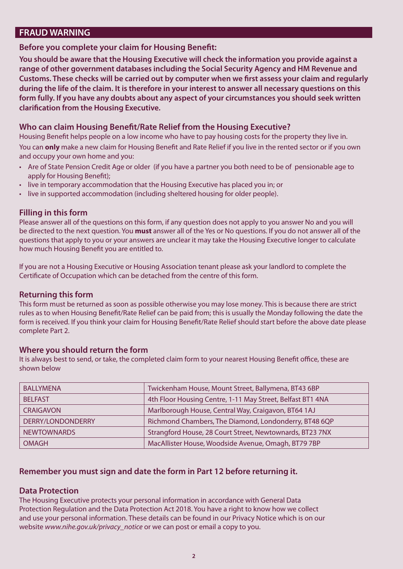# **FRAUD WARNING**

## **Before you complete your claim for Housing Benefit:**

**You should be aware that the Housing Executive will check the information you provide against a range of other government databases including the Social Security Agency and HM Revenue and Customs. These checks will be carried out by computer when we first assess your claim and regularly during the life of the claim. It is therefore in your interest to answer all necessary questions on this form fully. If you have any doubts about any aspect of your circumstances you should seek written clarification from the Housing Executive.** 

## **Who can claim Housing Benefit/Rate Relief from the Housing Executive?**

Housing Benefit helps people on a low income who have to pay housing costs for the property they live in.

You can **only** make a new claim for Housing Benefit and Rate Relief if you live in the rented sector or if you own and occupy your own home and you:

- • Are of State Pension Credit Age or older (if you have a partner you both need to be of pensionable age to apply for Housing Benefit);
- live in temporary accommodation that the Housing Executive has placed you in; or
- live in supported accommodation (including sheltered housing for older people).

#### **Filling in this form**

Please answer all of the questions on this form, if any question does not apply to you answer No and you will be directed to the next question. You **must** answer all of the Yes or No questions. If you do not answer all of the questions that apply to you or your answers are unclear it may take the Housing Executive longer to calculate how much Housing Benefit you are entitled to.

If you are not a Housing Executive or Housing Association tenant please ask your landlord to complete the Certificate of Occupation which can be detached from the centre of this form.

#### **Returning this form**

This form must be returned as soon as possible otherwise you may lose money. This is because there are strict rules as to when Housing Benefit/Rate Relief can be paid from; this is usually the Monday following the date the form is received. If you think your claim for Housing Benefit/Rate Relief should start before the above date please complete Part 2.

## **Where you should return the form**

It is always best to send, or take, the completed claim form to your nearest Housing Benefit office, these are shown below

| <b>BALLYMENA</b>   | Twickenham House, Mount Street, Ballymena, BT43 6BP        |
|--------------------|------------------------------------------------------------|
| <b>BELFAST</b>     | 4th Floor Housing Centre, 1-11 May Street, Belfast BT1 4NA |
| <b>CRAIGAVON</b>   | Marlborough House, Central Way, Craigavon, BT64 1AJ        |
| DERRY/LONDONDERRY  | Richmond Chambers, The Diamond, Londonderry, BT48 6QP      |
| <b>NEWTOWNARDS</b> | Strangford House, 28 Court Street, Newtownards, BT23 7NX   |
| <b>OMAGH</b>       | MacAllister House, Woodside Avenue, Omagh, BT79 7BP        |

## **Remember you must sign and date the form in Part 12 before returning it.**

#### **Data Protection**

The Housing Executive protects your personal information in accordance with General Data Protection Regulation and the Data Protection Act 2018. You have a right to know how we collect and use your personal information. These details can be found in our Privacy Notice which is on our website *www.nihe.gov.uk/privacy\_notice* or we can post or email a copy to you.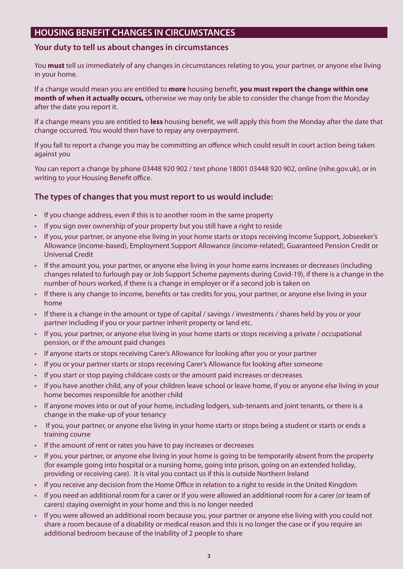# **HOUSING BENEFIT CHANGES IN CIRCUMSTANCES**

### **Your duty to tell us about changes in circumstances**

You **must** tell us immediately of any changes in circumstances relating to you, your partner, or anyone else living in your home.

If a change would mean you are entitled to **more** housing benefit, **you must report the change within one month of when it actually occurs,** otherwise we may only be able to consider the change from the Monday after the date you report it.

If a change means you are entitled to **less** housing benefit, we will apply this from the Monday after the date that change occurred. You would then have to repay any overpayment.

If you fail to report a change you may be committing an offence which could result in court action being taken against you

You can report a change by phone 03448 920 902 / text phone 18001 03448 920 902, online (nihe.gov.uk), or in writing to your Housing Benefit office.

## **The types of changes that you must report to us would include:**

- If you change address, even if this is to another room in the same property
- If you sign over ownership of your property but you still have a right to reside
- • If you, your partner, or anyone else living in your home starts or stops receiving Income Support, Jobseeker's Allowance (income-based), Employment Support Allowance (income-related), Guaranteed Pension Credit or Universal Credit
- • If the amount you, your partner, or anyone else living in your home earns increases or decreases (including changes related to furlough pay or Job Support Scheme payments during Covid-19), if there is a change in the number of hours worked, if there is a change in employer or if a second job is taken on
- If there is any change to income, benefits or tax credits for you, your partner, or anyone else living in your home
- If there is a change in the amount or type of capital / savings / investments / shares held by you or your partner including if you or your partner inherit property or land etc.
- • If you, your partner, or anyone else living in your home starts or stops receiving a private / occupational pension, or if the amount paid changes
- If anyone starts or stops receiving Carer's Allowance for looking after you or your partner
- If you or your partner starts or stops receiving Carer's Allowance for looking after someone
- If you start or stop paying childcare costs or the amount paid increases or decreases
- If you have another child, any of your children leave school or leave home, if you or anyone else living in your home becomes responsible for another child
- • If anyone moves into or out of your home, including lodgers, sub-tenants and joint tenants, or there is a change in the make-up of your tenancy
- If you, your partner, or anyone else living in your home starts or stops being a student or starts or ends a training course
- If the amount of rent or rates you have to pay increases or decreases
- • If you, your partner, or anyone else living in your home is going to be temporarily absent from the property (for example going into hospital or a nursing home, going into prison, going on an extended holiday, providing or receiving care). It is vital you contact us if this is outside Northern Ireland
- • If you receive any decision from the Home Office in relation to a right to reside in the United Kingdom
- If you need an additional room for a carer or if you were allowed an additional room for a carer (or team of carers) staying overnight in your home and this is no longer needed
- If you were allowed an additional room because you, your partner or anyone else living with you could not share a room because of a disability or medical reason and this is no longer the case or if you require an additional bedroom because of the inability of 2 people to share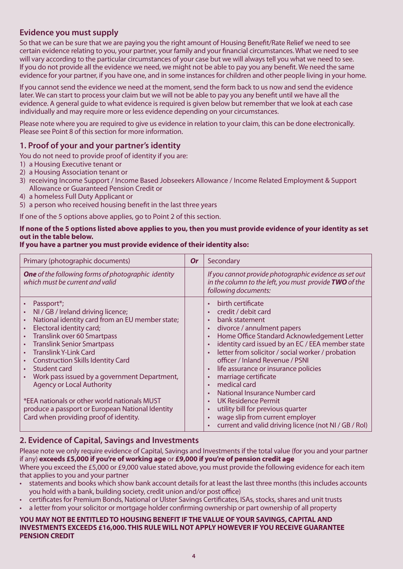# **Evidence you must supply**

So that we can be sure that we are paying you the right amount of Housing Benefit/Rate Relief we need to see certain evidence relating to you, your partner, your family and your financial circumstances. What we need to see will vary according to the particular circumstances of your case but we will always tell you what we need to see. If you do not provide all the evidence we need, we might not be able to pay you any benefit. We need the same evidence for your partner, if you have one, and in some instances for children and other people living in your home.

If you cannot send the evidence we need at the moment, send the form back to us now and send the evidence later. We can start to process your claim but we will not be able to pay you any benefit until we have all the evidence. A general guide to what evidence is required is given below but remember that we look at each case individually and may require more or less evidence depending on your circumstances.

Please note where you are required to give us evidence in relation to your claim, this can be done electronically. Please see Point 8 of this section for more information.

## **1. Proof of your and your partner's identity**

You do not need to provide proof of identity if you are:

- 1) a Housing Executive tenant or
- 2) a Housing Association tenant or
- 3) receiving Income Support / Income Based Jobseekers Allowance / Income Related Employment & Support Allowance or Guaranteed Pension Credit or
- 4) a homeless Full Duty Applicant or
- 5) a person who received housing benefit in the last three years

If one of the 5 options above applies, go to Point 2 of this section.

#### **If none of the 5 options listed above applies to you, then you must provide evidence of your identity as set out in the table below.**

#### **If you have a partner you must provide evidence of their identity also:**

| Primary (photographic documents)                                                                                                                                                                                                                                                                                                                                                                                                                                                                                                                      | <b>Or</b> | Secondary                                                                                                                                                                                                                                                                                                                                                                                                                                                                                                                                                                  |
|-------------------------------------------------------------------------------------------------------------------------------------------------------------------------------------------------------------------------------------------------------------------------------------------------------------------------------------------------------------------------------------------------------------------------------------------------------------------------------------------------------------------------------------------------------|-----------|----------------------------------------------------------------------------------------------------------------------------------------------------------------------------------------------------------------------------------------------------------------------------------------------------------------------------------------------------------------------------------------------------------------------------------------------------------------------------------------------------------------------------------------------------------------------------|
| <b>One</b> of the following forms of photographic identity<br>which must be current and valid                                                                                                                                                                                                                                                                                                                                                                                                                                                         |           | If you cannot provide photographic evidence as set out<br>in the column to the left, you must provide TWO of the<br>following documents:                                                                                                                                                                                                                                                                                                                                                                                                                                   |
| Passport*;<br>NI / GB / Ireland driving licence;<br>$\bullet$<br>National identity card from an EU member state;<br>Electoral identity card;<br><b>Translink over 60 Smartpass</b><br><b>Translink Senior Smartpass</b><br><b>Translink Y-Link Card</b><br><b>Construction Skills Identity Card</b><br>Student card<br>Work pass issued by a government Department,<br><b>Agency or Local Authority</b><br>*EEA nationals or other world nationals MUST<br>produce a passport or European National Identity<br>Card when providing proof of identity. |           | birth certificate<br>credit / debit card<br>bank statement<br>divorce / annulment papers<br>Home Office Standard Acknowledgement Letter<br>identity card issued by an EC / EEA member state<br>letter from solicitor / social worker / probation<br>officer / Inland Revenue / PSNI<br>life assurance or insurance policies<br>$\bullet$<br>marriage certificate<br>medical card<br>National Insurance Number card<br>UK Residence Permit<br>utility bill for previous quarter<br>wage slip from current employer<br>current and valid driving licence (not NI / GB / Rol) |

## **2. Evidence of Capital, Savings and Investments**

that applies to you and your partner Please note we only require evidence of Capital, Savings and Investments if the total value (for you and your partner if any) **exceeds £5,000 if you're of working age** or **£9,000 if you're of pension credit age**  Where you exceed the £5,000 or £9,000 value stated above, you must provide the following evidence for each item

- statements and books which show bank account details for at least the last three months (this includes accounts you hold with a bank, building society, credit union and/or post office)
- certificates for Premium Bonds, National or Ulster Savings Certificates, ISAs, stocks, shares and unit trusts
- a letter from your solicitor or mortgage holder confirming ownership or part ownership of all property

#### **YOU MAY NOT BE ENTITLED TO HOUSING BENEFIT IF THE VALUE OF YOUR SAVINGS, CAPITAL AND INVESTMENTS EXCEEDS £16,000. THIS RULE WILL NOT APPLY HOWEVER IF YOU RECEIVE GUARANTEE PENSION CREDIT**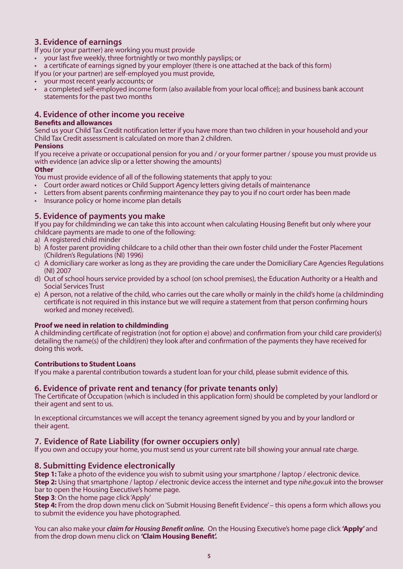## **3. Evidence of earnings**

If you (or your partner) are working you must provide

- your last five weekly, three fortnightly or two monthly payslips; or
- a certificate of earnings signed by your employer (there is one attached at the back of this form)

If you (or your partner) are self-employed you must provide,

- • your most recent yearly accounts; or
- a completed self-employed income form (also available from your local office); and business bank account statements for the past two months

## **4. Evidence of other income you receive**

#### **Benefits and allowances**

Send us your Child Tax Credit notification letter if you have more than two children in your household and your Child Tax Credit assessment is calculated on more than 2 children.

#### **Pensions**

If you receive a private or occupational pension for you and / or your former partner / spouse you must provide us with evidence (an advice slip or a letter showing the amounts)

#### **Other**

You must provide evidence of all of the following statements that apply to you:

- Court order award notices or Child Support Agency letters giving details of maintenance
- Letters from absent parents confirming maintenance they pay to you if no court order has been made
- Insurance policy or home income plan details

### **5. Evidence of payments you make**

If you pay for childminding we can take this into account when calculating Housing Benefit but only where your childcare payments are made to one of the following:

- a) A registered child minder
- b) A foster parent providing childcare to a child other than their own foster child under the Foster Placement (Children's Regulations (NI) 1996)
- c) A domiciliary care worker as long as they are providing the care under the Domiciliary Care Agencies Regulations (NI) 2007
- d) Out of school hours service provided by a school (on school premises), the Education Authority or a Health and Social Services Trust
- e) A person, not a relative of the child, who carries out the care wholly or mainly in the child's home (a childminding certificate is not required in this instance but we will require a statement from that person confirming hours worked and money received).

#### **Proof we need in relation to childminding**

A childminding certificate of registration (not for option e) above) and confirmation from your child care provider(s) detailing the name(s) of the child(ren) they look after and confirmation of the payments they have received for doing this work.

#### **Contributions to Student Loans**

If you make a parental contribution towards a student loan for your child, please submit evidence of this.

## **6. Evidence of private rent and tenancy (for private tenants only)**

The Certificate of Occupation (which is included in this application form) should be completed by your landlord or their agent and sent to us.

 their agent. In exceptional circumstances we will accept the tenancy agreement signed by you and by your landlord or

## **7. Evidence of Rate Liability (for owner occupiers only)**

If you own and occupy your home, you must send us your current rate bill showing your annual rate charge.

## **8. Submitting Evidence electronically**

**Step 1:** Take a photo of the evidence you wish to submit using your smartphone / laptop / electronic device. **Step 2:** Using that smartphone / laptop / electronic device access the internet and type *nihe.gov.uk* into the browser bar to open the Housing Executive's home page.

**Step 3**: On the home page click 'Apply'

**Step 4:** From the drop down menu click on 'Submit Housing Benefit Evidence' – this opens a form which allows you to submit the evidence you have photographed.

You can also make your *claim for Housing Benefit online.* On the Housing Executive's home page click **'Apply'** and from the drop down menu click on **'Claim Housing Benefit'.**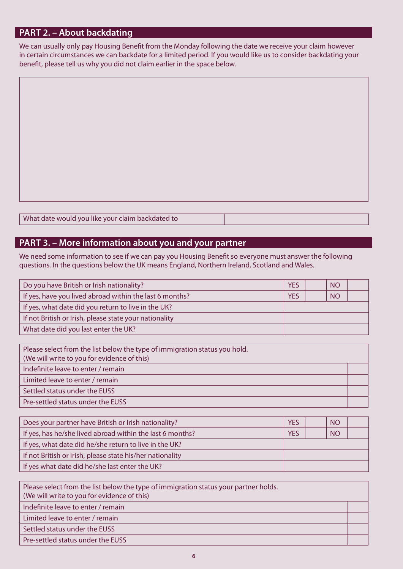# **PART 2. – About backdating**

We can usually only pay Housing Benefit from the Monday following the date we receive your claim however in certain circumstances we can backdate for a limited period. If you would like us to consider backdating your benefit, please tell us why you did not claim earlier in the space below.

What date would you like your claim backdated to

# **PART 3. – More information about you and your partner**

We need some information to see if we can pay you Housing Benefit so everyone must answer the following questions. In the questions below the UK means England, Northern Ireland, Scotland and Wales.

| Do you have British or Irish nationality?               | <b>YES</b> | N <sub>O</sub> |  |
|---------------------------------------------------------|------------|----------------|--|
| If yes, have you lived abroad within the last 6 months? |            | <b>NO</b>      |  |
| If yes, what date did you return to live in the UK?     |            |                |  |
| If not British or Irish, please state your nationality  |            |                |  |
| What date did you last enter the UK?                    |            |                |  |

| Please select from the list below the type of immigration status you hold.<br>(We will write to you for evidence of this) |  |
|---------------------------------------------------------------------------------------------------------------------------|--|
| Indefinite leave to enter / remain                                                                                        |  |
| Limited leave to enter / remain                                                                                           |  |
| Settled status under the EUSS                                                                                             |  |
| Pre-settled status under the EUSS                                                                                         |  |

| Does your partner have British or Irish nationality?      | <b>YES</b> |  | <b>NO</b> |  |
|-----------------------------------------------------------|------------|--|-----------|--|
| If yes, has he/she lived abroad within the last 6 months? |            |  | <b>NO</b> |  |
| If yes, what date did he/she return to live in the UK?    |            |  |           |  |
| If not British or Irish, please state his/her nationality |            |  |           |  |
| If yes what date did he/she last enter the UK?            |            |  |           |  |

| Please select from the list below the type of immigration status your partner holds.<br>(We will write to you for evidence of this) |  |
|-------------------------------------------------------------------------------------------------------------------------------------|--|
| Indefinite leave to enter / remain                                                                                                  |  |
| Limited leave to enter / remain                                                                                                     |  |
| Settled status under the EUSS                                                                                                       |  |
| Pre-settled status under the EUSS                                                                                                   |  |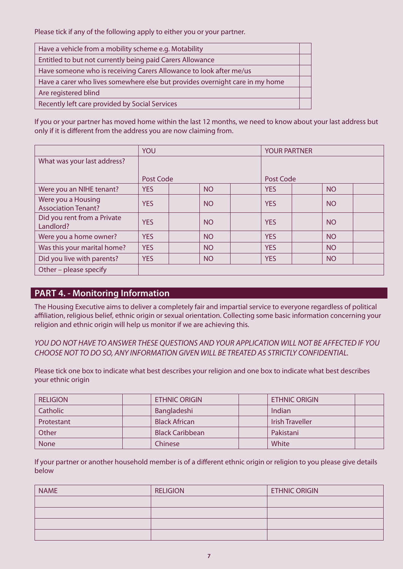Please tick if any of the following apply to either you or your partner.

| Have a vehicle from a mobility scheme e.g. Motability                        |  |
|------------------------------------------------------------------------------|--|
| Entitled to but not currently being paid Carers Allowance                    |  |
| Have someone who is receiving Carers Allowance to look after me/us           |  |
| Have a carer who lives somewhere else but provides overnight care in my home |  |
| Are registered blind                                                         |  |
| Recently left care provided by Social Services                               |  |

If you or your partner has moved home within the last 12 months, we need to know about your last address but only if it is different from the address you are now claiming from.

|                                                  | <b>YOU</b> |           | <b>YOUR PARTNER</b> |            |  |           |  |
|--------------------------------------------------|------------|-----------|---------------------|------------|--|-----------|--|
| What was your last address?                      |            |           |                     |            |  |           |  |
|                                                  |            |           |                     |            |  |           |  |
|                                                  | Post Code  |           |                     | Post Code  |  |           |  |
| Were you an NIHE tenant?                         | <b>YES</b> | <b>NO</b> |                     | <b>YES</b> |  | <b>NO</b> |  |
| Were you a Housing<br><b>Association Tenant?</b> | <b>YES</b> | <b>NO</b> |                     | <b>YES</b> |  | <b>NO</b> |  |
| Did you rent from a Private<br>Landlord?         | <b>YES</b> | <b>NO</b> |                     | <b>YES</b> |  | <b>NO</b> |  |
| Were you a home owner?                           | <b>YES</b> | <b>NO</b> |                     | <b>YES</b> |  | <b>NO</b> |  |
| Was this your marital home?                      | <b>YES</b> | <b>NO</b> |                     | <b>YES</b> |  | <b>NO</b> |  |
| Did you live with parents?                       | <b>YES</b> | <b>NO</b> |                     | <b>YES</b> |  | <b>NO</b> |  |
| Other - please specify                           |            |           |                     |            |  |           |  |

# **PART 4. - Monitoring Information**

The Housing Executive aims to deliver a completely fair and impartial service to everyone regardless of political affiliation, religious belief, ethnic origin or sexual orientation. Collecting some basic information concerning your religion and ethnic origin will help us monitor if we are achieving this.

*YOU DO NOT HAVE TO ANSWER THESE QUESTIONS AND YOUR APPLICATION WILL NOT BE AFFECTED IF YOU CHOOSE NOT TO DO SO, ANY INFORMATION GIVEN WILL BE TREATED AS STRICTLY CONFIDENTIAL.* 

Please tick one box to indicate what best describes your religion and one box to indicate what best describes your ethnic origin

| <b>RELIGION</b> | <b>ETHNIC ORIGIN</b>   | <b>ETHNIC ORIGIN</b>   |  |
|-----------------|------------------------|------------------------|--|
| Catholic        | Bangladeshi            | Indian                 |  |
| Protestant      | <b>Black African</b>   | <b>Irish Traveller</b> |  |
| Other           | <b>Black Caribbean</b> | Pakistani              |  |
| <b>None</b>     | Chinese                | White                  |  |

If your partner or another household member is of a different ethnic origin or religion to you please give details below

| <b>NAME</b> | <b>RELIGION</b> | <b>ETHNIC ORIGIN</b> |
|-------------|-----------------|----------------------|
|             |                 |                      |
|             |                 |                      |
|             |                 |                      |
|             |                 |                      |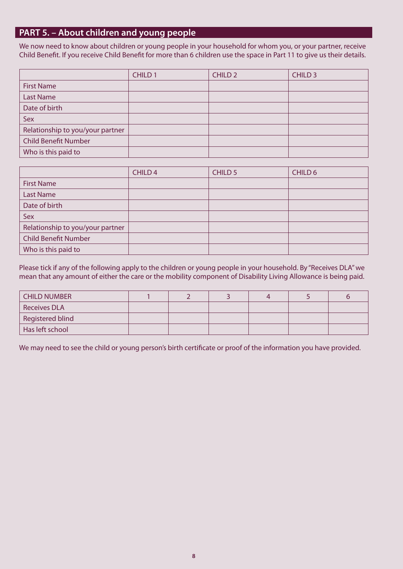# **PART 5. – About children and young people**

We now need to know about children or young people in your household for whom you, or your partner, receive Child Benefit. If you receive Child Benefit for more than 6 children use the space in Part 11 to give us their details.

|                                  | CHILD <sub>1</sub> | <b>CHILD 2</b> | CHILD <sub>3</sub> |
|----------------------------------|--------------------|----------------|--------------------|
| <b>First Name</b>                |                    |                |                    |
| <b>Last Name</b>                 |                    |                |                    |
| Date of birth                    |                    |                |                    |
| Sex                              |                    |                |                    |
| Relationship to you/your partner |                    |                |                    |
| <b>Child Benefit Number</b>      |                    |                |                    |
| Who is this paid to              |                    |                |                    |

|                                  | CHILD <sub>4</sub> | CHILD <sub>5</sub> | CHILD 6 |
|----------------------------------|--------------------|--------------------|---------|
| <b>First Name</b>                |                    |                    |         |
| <b>Last Name</b>                 |                    |                    |         |
| Date of birth                    |                    |                    |         |
| Sex                              |                    |                    |         |
| Relationship to you/your partner |                    |                    |         |
| <b>Child Benefit Number</b>      |                    |                    |         |
| Who is this paid to              |                    |                    |         |

Please tick if any of the following apply to the children or young people in your household. By "Receives DLA" we mean that any amount of either the care or the mobility component of Disability Living Allowance is being paid.

| <b>CHILD NUMBER</b> |  |  |  |
|---------------------|--|--|--|
| <b>Receives DLA</b> |  |  |  |
| Registered blind    |  |  |  |
| Has left school     |  |  |  |

We may need to see the child or young person's birth certificate or proof of the information you have provided.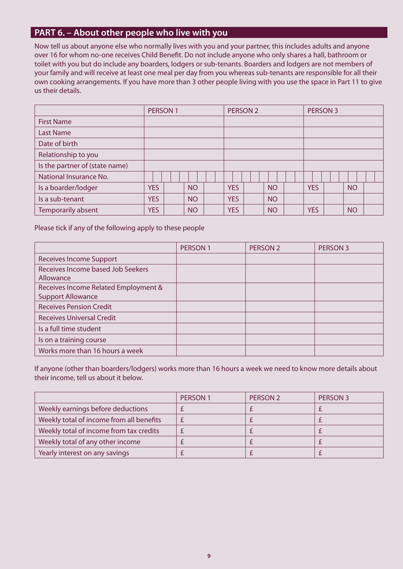# **PART 6. – About other people who live with you**

Now tell us about anyone else who normally lives with you and your partner, this includes adults and anyone over 16 for whom no-one receives Child Benefit. Do not include anyone who only shares a hall, bathroom or toilet with you but do include any boarders, lodgers or sub-tenants. Boarders and lodgers are not members of your family and will receive at least one meal per day from you whereas sub-tenants are responsible for all their own cooking arrangements. If you have more than 3 other people living with you use the space in Part 11 to give us their details.

|                                | PERSON 1   |  |           | PERSON <sub>2</sub> |            |  | PERSON 3  |  |            |  |           |  |
|--------------------------------|------------|--|-----------|---------------------|------------|--|-----------|--|------------|--|-----------|--|
| <b>First Name</b>              |            |  |           |                     |            |  |           |  |            |  |           |  |
| <b>Last Name</b>               |            |  |           |                     |            |  |           |  |            |  |           |  |
| Date of birth                  |            |  |           |                     |            |  |           |  |            |  |           |  |
| Relationship to you            |            |  |           |                     |            |  |           |  |            |  |           |  |
| Is the partner of (state name) |            |  |           |                     |            |  |           |  |            |  |           |  |
| National Insurance No.         |            |  |           |                     |            |  |           |  |            |  |           |  |
| Is a boarder/lodger            | <b>YES</b> |  | <b>NO</b> |                     | <b>YES</b> |  | <b>NO</b> |  | <b>YES</b> |  | <b>NO</b> |  |
| Is a sub-tenant                | <b>YES</b> |  | <b>NO</b> |                     | <b>YES</b> |  | <b>NO</b> |  |            |  |           |  |
| Temporarily absent             | <b>YES</b> |  | <b>NO</b> |                     | <b>YES</b> |  | <b>NO</b> |  | <b>YES</b> |  | <b>NO</b> |  |

Please tick if any of the following apply to these people

|                                                                  | PERSON 1 | PERSON <sub>2</sub> | PERSON <sub>3</sub> |
|------------------------------------------------------------------|----------|---------------------|---------------------|
| <b>Receives Income Support</b>                                   |          |                     |                     |
| Receives Income based Job Seekers<br>Allowance                   |          |                     |                     |
| Receives Income Related Employment &<br><b>Support Allowance</b> |          |                     |                     |
| <b>Receives Pension Credit</b>                                   |          |                     |                     |
| <b>Receives Universal Credit</b>                                 |          |                     |                     |
| Is a full time student                                           |          |                     |                     |
| Is on a training course                                          |          |                     |                     |
| Works more than 16 hours a week                                  |          |                     |                     |

If anyone (other than boarders/lodgers) works more than 16 hours a week we need to know more details about their income, tell us about it below.

|                                          | <b>PERSON1</b> | PERSON 2 | PERSON 3 |
|------------------------------------------|----------------|----------|----------|
| Weekly earnings before deductions        |                |          |          |
| Weekly total of income from all benefits |                |          |          |
| Weekly total of income from tax credits  |                |          |          |
| Weekly total of any other income         |                |          |          |
| Yearly interest on any savings           |                |          |          |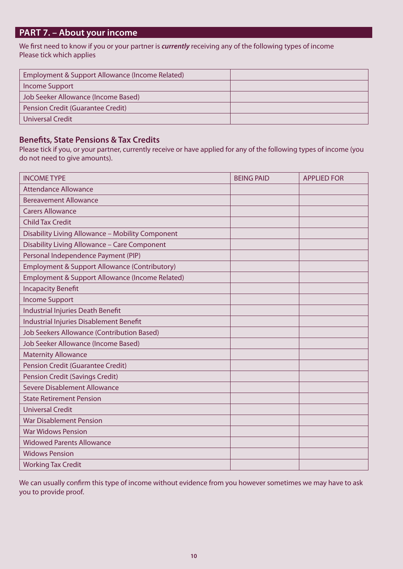# **PART 7. – About your income**

We first need to know if you or your partner is *currently* receiving any of the following types of income Please tick which applies

| Employment & Support Allowance (Income Related) |  |
|-------------------------------------------------|--|
| <b>Income Support</b>                           |  |
| Job Seeker Allowance (Income Based)             |  |
| Pension Credit (Guarantee Credit)               |  |
| Universal Credit                                |  |

## **Benefits, State Pensions & Tax Credits**

Please tick if you, or your partner, currently receive or have applied for any of the following types of income (you do not need to give amounts).

| <b>INCOME TYPE</b>                                | <b>BEING PAID</b> | <b>APPLIED FOR</b> |
|---------------------------------------------------|-------------------|--------------------|
| <b>Attendance Allowance</b>                       |                   |                    |
| <b>Bereavement Allowance</b>                      |                   |                    |
| <b>Carers Allowance</b>                           |                   |                    |
| <b>Child Tax Credit</b>                           |                   |                    |
| Disability Living Allowance - Mobility Component  |                   |                    |
| Disability Living Allowance - Care Component      |                   |                    |
| Personal Independence Payment (PIP)               |                   |                    |
| Employment & Support Allowance (Contributory)     |                   |                    |
| Employment & Support Allowance (Income Related)   |                   |                    |
| <b>Incapacity Benefit</b>                         |                   |                    |
| <b>Income Support</b>                             |                   |                    |
| <b>Industrial Injuries Death Benefit</b>          |                   |                    |
| Industrial Injuries Disablement Benefit           |                   |                    |
| <b>Job Seekers Allowance (Contribution Based)</b> |                   |                    |
| Job Seeker Allowance (Income Based)               |                   |                    |
| <b>Maternity Allowance</b>                        |                   |                    |
| <b>Pension Credit (Guarantee Credit)</b>          |                   |                    |
| <b>Pension Credit (Savings Credit)</b>            |                   |                    |
| Severe Disablement Allowance                      |                   |                    |
| <b>State Retirement Pension</b>                   |                   |                    |
| <b>Universal Credit</b>                           |                   |                    |
| <b>War Disablement Pension</b>                    |                   |                    |
| <b>War Widows Pension</b>                         |                   |                    |
| <b>Widowed Parents Allowance</b>                  |                   |                    |
| <b>Widows Pension</b>                             |                   |                    |
| <b>Working Tax Credit</b>                         |                   |                    |

We can usually confirm this type of income without evidence from you however sometimes we may have to ask you to provide proof.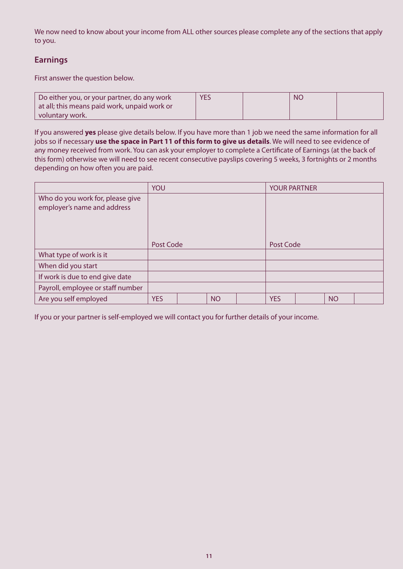We now need to know about your income from ALL other sources please complete any of the sections that apply to you.

# **Earnings**

First answer the question below.

| Do either you, or your partner, do any work  | <b>YES</b> | <b>NC</b> |  |
|----------------------------------------------|------------|-----------|--|
| at all; this means paid work, unpaid work or |            |           |  |
| voluntary work.                              |            |           |  |

If you answered **yes** please give details below. If you have more than 1 job we need the same information for all jobs so if necessary **use the space in Part 11 of this form to give us details**. We will need to see evidence of any money received from work. You can ask your employer to complete a Certificate of Earnings (at the back of this form) otherwise we will need to see recent consecutive payslips covering 5 weeks, 3 fortnights or 2 months depending on how often you are paid.

|                                                                 | YOU        |  |           |  | <b>YOUR PARTNER</b> |  |           |  |
|-----------------------------------------------------------------|------------|--|-----------|--|---------------------|--|-----------|--|
| Who do you work for, please give<br>employer's name and address |            |  |           |  |                     |  |           |  |
|                                                                 | Post Code  |  |           |  | Post Code           |  |           |  |
| What type of work is it                                         |            |  |           |  |                     |  |           |  |
| When did you start                                              |            |  |           |  |                     |  |           |  |
| If work is due to end give date                                 |            |  |           |  |                     |  |           |  |
| Payroll, employee or staff number                               |            |  |           |  |                     |  |           |  |
| Are you self employed                                           | <b>YES</b> |  | <b>NO</b> |  | <b>YES</b>          |  | <b>NO</b> |  |

If you or your partner is self-employed we will contact you for further details of your income.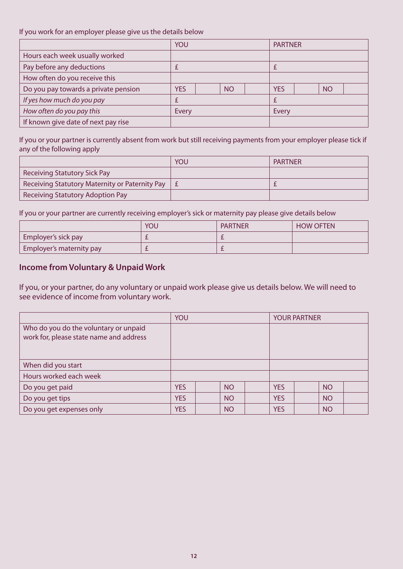#### If you work for an employer please give us the details below

|                                      | YOU        |  |           | <b>PARTNER</b> |            |  |           |  |
|--------------------------------------|------------|--|-----------|----------------|------------|--|-----------|--|
| Hours each week usually worked       |            |  |           |                |            |  |           |  |
| Pay before any deductions            |            |  |           |                |            |  |           |  |
| How often do you receive this        |            |  |           |                |            |  |           |  |
| Do you pay towards a private pension | <b>YES</b> |  | <b>NO</b> |                | <b>YES</b> |  | <b>NO</b> |  |
| If yes how much do you pay           |            |  |           |                |            |  |           |  |
| How often do you pay this            | Every      |  |           | <b>Every</b>   |            |  |           |  |
| If known give date of next pay rise  |            |  |           |                |            |  |           |  |

If you or your partner is currently absent from work but still receiving payments from your employer please tick if any of the following apply

|                                                | YOU | <b>PARTNER</b> |
|------------------------------------------------|-----|----------------|
| <b>Receiving Statutory Sick Pay</b>            |     |                |
| Receiving Statutory Maternity or Paternity Pay |     |                |
| Receiving Statutory Adoption Pay               |     |                |

If you or your partner are currently receiving employer's sick or maternity pay please give details below

|                          | YOU | <b>PARTNER</b> | <b>HOW OFTEN</b> |
|--------------------------|-----|----------------|------------------|
| Employer's sick pay      |     |                |                  |
| Employer's maternity pay |     |                |                  |

## **Income from Voluntary & Unpaid Work**

If you, or your partner, do any voluntary or unpaid work please give us details below. We will need to see evidence of income from voluntary work.

|                                                                                  | YOU        |  |           | <b>YOUR PARTNER</b> |            |  |           |  |
|----------------------------------------------------------------------------------|------------|--|-----------|---------------------|------------|--|-----------|--|
| Who do you do the voluntary or unpaid<br>work for, please state name and address |            |  |           |                     |            |  |           |  |
| When did you start                                                               |            |  |           |                     |            |  |           |  |
| Hours worked each week                                                           |            |  |           |                     |            |  |           |  |
| Do you get paid                                                                  | <b>YES</b> |  | <b>NO</b> |                     | <b>YES</b> |  | <b>NO</b> |  |
| Do you get tips                                                                  | <b>YES</b> |  | <b>NO</b> |                     | <b>YES</b> |  | <b>NO</b> |  |
| Do you get expenses only                                                         | <b>YES</b> |  | <b>NO</b> |                     | <b>YES</b> |  | <b>NO</b> |  |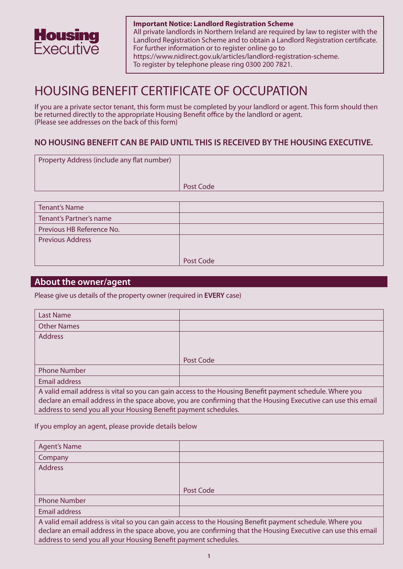

**Important Notice: Landlord Registration Scheme**  All private landlords in Northern Ireland are required by law to register with the Landlord Registration Scheme and to obtain a Landlord Registration certificate. For further information or to register online go to https://www.nidirect.gov.uk/articles/landlord-registration-scheme. To register by telephone please ring 0300 200 7821.

# HOUSING BENEFIT CERTIFICATE OF OCCUPATION

If you are a private sector tenant, this form must be completed by your landlord or agent. This form should then be returned directly to the appropriate Housing Benefit office by the landlord or agent. (Please see addresses on the back of this form)

# **NO HOUSING BENEFIT CAN BE PAID UNTIL THIS IS RECEIVED BY THE HOUSING EXECUTIVE.**

| Property Address (include any flat number) |           |
|--------------------------------------------|-----------|
|                                            | Post Code |

| <b>Tenant's Name</b>      |           |
|---------------------------|-----------|
| Tenant's Partner's name   |           |
| Previous HB Reference No. |           |
| <b>Previous Address</b>   |           |
|                           |           |
|                           | Post Code |

## **About the owner/agent**

Please give us details of the property owner (required in **EVERY** case)

| Last Name                                                                                                                                                                                                                 |           |  |  |  |  |  |
|---------------------------------------------------------------------------------------------------------------------------------------------------------------------------------------------------------------------------|-----------|--|--|--|--|--|
| <b>Other Names</b>                                                                                                                                                                                                        |           |  |  |  |  |  |
| <b>Address</b>                                                                                                                                                                                                            |           |  |  |  |  |  |
|                                                                                                                                                                                                                           |           |  |  |  |  |  |
|                                                                                                                                                                                                                           | Post Code |  |  |  |  |  |
| <b>Phone Number</b>                                                                                                                                                                                                       |           |  |  |  |  |  |
| Email address                                                                                                                                                                                                             |           |  |  |  |  |  |
| A valid email address is vital so you can gain access to the Housing Benefit payment schedule. Where you<br>declare an email address in the space above, you are confirming that the Housing Executive can use this email |           |  |  |  |  |  |
| address to send you all your Housing Benefit payment schedules.                                                                                                                                                           |           |  |  |  |  |  |

If you employ an agent, please provide details below

| <b>Agent's Name</b>                                             |                                                                                                               |
|-----------------------------------------------------------------|---------------------------------------------------------------------------------------------------------------|
| Company                                                         |                                                                                                               |
| <b>Address</b>                                                  |                                                                                                               |
|                                                                 |                                                                                                               |
|                                                                 | Post Code                                                                                                     |
| <b>Phone Number</b>                                             |                                                                                                               |
| Email address                                                   |                                                                                                               |
|                                                                 | A valid email address is vital so you can gain access to the Housing Benefit payment schedule. Where you      |
|                                                                 | declare an email address in the space above, you are confirming that the Housing Executive can use this email |
| address to send you all your Housing Benefit payment schedules. |                                                                                                               |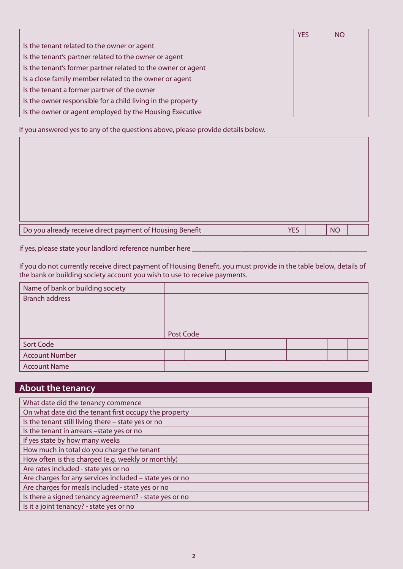|                                                              | <b>YES</b> | NO |
|--------------------------------------------------------------|------------|----|
| Is the tenant related to the owner or agent                  |            |    |
| Is the tenant's partner related to the owner or agent        |            |    |
| Is the tenant's former partner related to the owner or agent |            |    |
| Is a close family member related to the owner or agent       |            |    |
| Is the tenant a former partner of the owner                  |            |    |
| Is the owner responsible for a child living in the property  |            |    |
| Is the owner or agent employed by the Housing Executive      |            |    |

If you answered yes to any of the questions above, please provide details below.

| Do you already receive direct payment of Housing Benefit | YES | <b>NO</b> |  |
|----------------------------------------------------------|-----|-----------|--|

If yes, please state your landlord reference number here \_\_\_\_\_\_\_\_\_\_\_\_\_\_\_\_\_\_\_\_\_\_\_\_

If you do not currently receive direct payment of Housing Benefit, you must provide in the table below, details of the bank or building society account you wish to use to receive payments.

| Name of bank or building society |           |  |  |  |  |  |
|----------------------------------|-----------|--|--|--|--|--|
| <b>Branch address</b>            |           |  |  |  |  |  |
|                                  |           |  |  |  |  |  |
|                                  |           |  |  |  |  |  |
|                                  |           |  |  |  |  |  |
|                                  | Post Code |  |  |  |  |  |
| Sort Code                        |           |  |  |  |  |  |
| <b>Account Number</b>            |           |  |  |  |  |  |
| <b>Account Name</b>              |           |  |  |  |  |  |

# **About the tenancy**

| What date did the tenancy commence                      |  |
|---------------------------------------------------------|--|
| On what date did the tenant first occupy the property   |  |
| Is the tenant still living there - state yes or no      |  |
| Is the tenant in arrears -state yes or no               |  |
| If yes state by how many weeks                          |  |
| How much in total do you charge the tenant              |  |
| How often is this charged (e.g. weekly or monthly)      |  |
| Are rates included - state yes or no                    |  |
| Are charges for any services included - state yes or no |  |
| Are charges for meals included - state yes or no        |  |
| Is there a signed tenancy agreement? - state yes or no  |  |
| Is it a joint tenancy? - state yes or no                |  |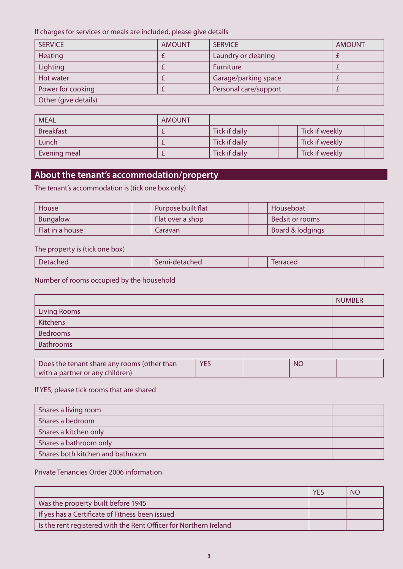If charges for services or meals are included, please give details

| <b>SERVICE</b>       | <b>AMOUNT</b> | <b>SERVICE</b>        | <b>AMOUNT</b> |
|----------------------|---------------|-----------------------|---------------|
| Heating              |               | Laundry or cleaning   |               |
| Lighting             |               | <b>Furniture</b>      |               |
| Hot water            |               | Garage/parking space  |               |
| Power for cooking    |               | Personal care/support |               |
| Other (give details) |               |                       |               |

| <b>MEAL</b>      | <b>AMOUNT</b> |               |                |
|------------------|---------------|---------------|----------------|
| <b>Breakfast</b> |               | Tick if daily | Tick if weekly |
| Lunch            |               | Tick if daily | Tick if weekly |
| Evening meal     |               | Tick if daily | Tick if weekly |

# **About the tenant's accommodation/property**

The tenant's accommodation is (tick one box only)

| House           | Purpose built flat | Houseboat        |  |
|-----------------|--------------------|------------------|--|
| Bungalow        | Flat over a shop   | Bedsit or rooms  |  |
| Flat in a house | Caravan            | Board & lodgings |  |

#### The property is (tick one box)

| $   -$<br>etached i<br>Inea<br><b>PETTILE</b><br>Lat<br>$\sim$<br>$\sim$ |  |
|--------------------------------------------------------------------------|--|
|--------------------------------------------------------------------------|--|

# Number of rooms occupied by the household

|                     | <b>NUMBER</b> |
|---------------------|---------------|
| <b>Living Rooms</b> |               |
| <b>Kitchens</b>     |               |
| Bedrooms            |               |
| <b>Bathrooms</b>    |               |

| Does the tenant share any rooms (other than | <b>YES</b> | <b>NC</b> |  |
|---------------------------------------------|------------|-----------|--|
| with a partner or any children)             |            |           |  |

# If YES, please tick rooms that are shared

| Shares a living room             |  |
|----------------------------------|--|
| Shares a bedroom                 |  |
| Shares a kitchen only            |  |
| Shares a bathroom only           |  |
| Shares both kitchen and bathroom |  |

## Private Tenancies Order 2006 information

|                                                                   | <b>YES</b> | <b>NO</b> |
|-------------------------------------------------------------------|------------|-----------|
| Was the property built before 1945                                |            |           |
| If yes has a Certificate of Fitness been issued                   |            |           |
| Is the rent registered with the Rent Officer for Northern Ireland |            |           |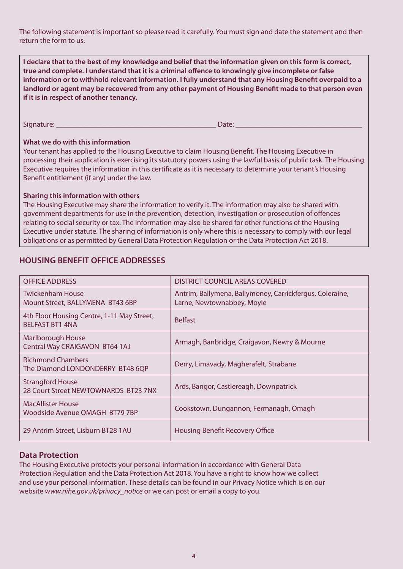The following statement is important so please read it carefully. You must sign and date the statement and then return the form to us.

**I declare that to the best of my knowledge and belief that the information given on this form is correct, true and complete. I understand that it is a criminal offence to knowingly give incomplete or false information or to withhold relevant information. I fully understand that any Housing Benefit overpaid to a landlord or agent may be recovered from any other payment of Housing Benefit made to that person even if it is in respect of another tenancy.** 

Signature: \_\_\_\_\_\_\_\_\_\_\_\_\_\_\_\_\_\_\_\_\_\_\_\_\_\_\_\_\_\_\_\_\_\_\_\_\_\_\_\_\_\_\_ Date: \_\_\_\_\_\_\_\_\_\_\_\_\_\_\_\_\_\_\_\_\_\_\_\_\_\_\_\_\_\_\_\_\_\_

#### **What we do with this information**

Your tenant has applied to the Housing Executive to claim Housing Benefit. The Housing Executive in processing their application is exercising its statutory powers using the lawful basis of public task. The Housing Executive requires the information in this certificate as it is necessary to determine your tenant's Housing Benefit entitlement (if any) under the law.

#### **Sharing this information with others**

The Housing Executive may share the information to verify it. The information may also be shared with government departments for use in the prevention, detection, investigation or prosecution of offences relating to social security or tax. The information may also be shared for other functions of the Housing Executive under statute. The sharing of information is only where this is necessary to comply with our legal obligations or as permitted by General Data Protection Regulation or the Data Protection Act 2018.

# **HOUSING BENEFIT OFFICE ADDRESSES**

| <b>OFFICE ADDRESS</b>                                                | DISTRICT COUNCIL AREAS COVERED                                                         |
|----------------------------------------------------------------------|----------------------------------------------------------------------------------------|
| Twickenham House<br>Mount Street, BALLYMENA BT43 6BP                 | Antrim, Ballymena, Ballymoney, Carrickfergus, Coleraine,<br>Larne, Newtownabbey, Moyle |
| 4th Floor Housing Centre, 1-11 May Street,<br><b>BELFAST BT1 4NA</b> | <b>Belfast</b>                                                                         |
| <b>Marlborough House</b><br>Central Way CRAIGAVON BT64 1AJ           | Armagh, Banbridge, Craigavon, Newry & Mourne                                           |
| <b>Richmond Chambers</b><br>The Diamond LONDONDERRY BT48 6QP         | Derry, Limavady, Magherafelt, Strabane                                                 |
| <b>Strangford House</b><br>28 Court Street NEWTOWNARDS BT23 7NX      | Ards, Bangor, Castlereagh, Downpatrick                                                 |
| <b>MacAllister House</b><br>Woodside Avenue OMAGH BT79 7BP           | Cookstown, Dungannon, Fermanagh, Omagh                                                 |
| 29 Antrim Street, Lisburn BT28 1AU                                   | <b>Housing Benefit Recovery Office</b>                                                 |

#### **Data Protection**

The Housing Executive protects your personal information in accordance with General Data Protection Regulation and the Data Protection Act 2018. You have a right to know how we collect and use your personal information. These details can be found in our Privacy Notice which is on our website *www.nihe.gov.uk/privacy\_notice* or we can post or email a copy to you.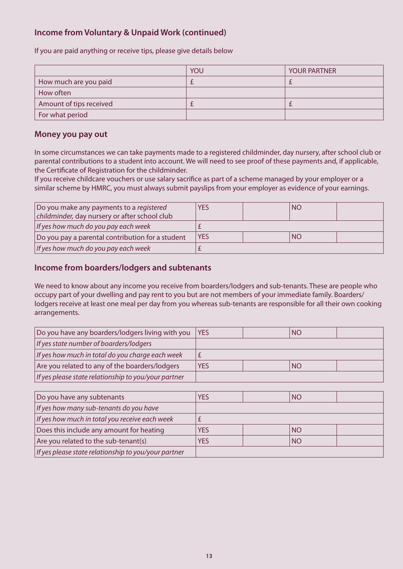# **Income from Voluntary & Unpaid Work (continued)**

If you are paid anything or receive tips, please give details below

|                         | YOU | <b>YOUR PARTNER</b> |
|-------------------------|-----|---------------------|
| How much are you paid   |     |                     |
| How often               |     |                     |
| Amount of tips received |     |                     |
| For what period         |     |                     |

### **Money you pay out**

In some circumstances we can take payments made to a registered childminder, day nursery, after school club or parental contributions to a student into account. We will need to see proof of these payments and, if applicable, the Certificate of Registration for the childminder.

If you receive childcare vouchers or use salary sacrifice as part of a scheme managed by your employer or a similar scheme by HMRC, you must always submit payslips from your employer as evidence of your earnings.

| Do you make any payments to a registered         | <b>YES</b> | <b>NO</b> |  |
|--------------------------------------------------|------------|-----------|--|
| childminder, day nursery or after school club    |            |           |  |
| If yes how much do you pay each week             |            |           |  |
| Do you pay a parental contribution for a student | <b>YES</b> | <b>NO</b> |  |
| If yes how much do you pay each week             |            |           |  |

## **Income from boarders/lodgers and subtenants**

We need to know about any income you receive from boarders/lodgers and sub-tenants. These are people who occupy part of your dwelling and pay rent to you but are not members of your immediate family. Boarders/ lodgers receive at least one meal per day from you whereas sub-tenants are responsible for all their own cooking arrangements.

| Do you have any boarders/lodgers living with you     | <b>YES</b> | <b>NO</b> |  |
|------------------------------------------------------|------------|-----------|--|
| If yes state number of boarders/lodgers              |            |           |  |
| If yes how much in total do you charge each week     |            |           |  |
| Are you related to any of the boarders/lodgers       | <b>YES</b> | <b>NO</b> |  |
| If yes please state relationship to you/your partner |            |           |  |

| Do you have any subtenants                           | YES        | <b>NO</b> |  |
|------------------------------------------------------|------------|-----------|--|
| If yes how many sub-tenants do you have              |            |           |  |
| If yes how much in total you receive each week       |            |           |  |
| Does this include any amount for heating             | <b>YES</b> | <b>NO</b> |  |
| Are you related to the sub-tenant(s)                 | YES        | <b>NO</b> |  |
| If yes please state relationship to you/your partner |            |           |  |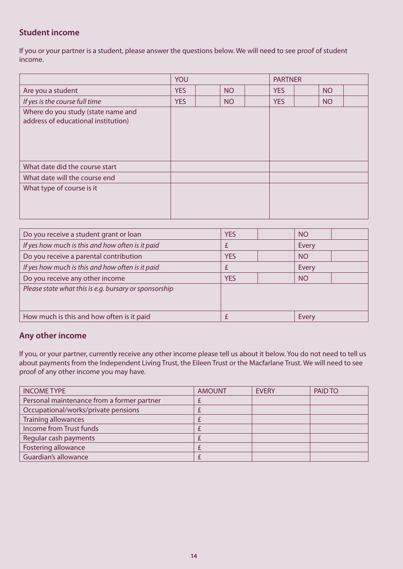# **Student income**

If you or your partner is a student, please answer the questions below. We will need to see proof of student income.

|                                                                           | YOU        |  |           | <b>PARTNER</b> |            |           |  |
|---------------------------------------------------------------------------|------------|--|-----------|----------------|------------|-----------|--|
| Are you a student                                                         | <b>YES</b> |  | <b>NO</b> |                | <b>YES</b> | <b>NO</b> |  |
| If yes is the course full time                                            | <b>YES</b> |  | <b>NO</b> |                | <b>YES</b> | <b>NO</b> |  |
| Where do you study (state name and<br>address of educational institution) |            |  |           |                |            |           |  |
| What date did the course start                                            |            |  |           |                |            |           |  |
| What date will the course end                                             |            |  |           |                |            |           |  |
| What type of course is it                                                 |            |  |           |                |            |           |  |

| Do you receive a student grant or loan                | <b>YES</b> | <b>NO</b> |
|-------------------------------------------------------|------------|-----------|
| If yes how much is this and how often is it paid      |            | Every     |
| Do you receive a parental contribution                | <b>YES</b> | <b>NO</b> |
| If yes how much is this and how often is it paid      |            | Every     |
| Do you receive any other income                       | <b>YES</b> | <b>NO</b> |
| Please state what this is e.g. bursary or sponsorship |            |           |
|                                                       |            |           |
| How much is this and how often is it paid             |            | Every     |

## **Any other income**

If you, or your partner, currently receive any other income please tell us about it below. You do not need to tell us about payments from the Independent Living Trust, the Eileen Trust or the Macfarlane Trust. We will need to see proof of any other income you may have.

| <b>INCOME TYPE</b>                         | <b>AMOUNT</b> | <b>EVERY</b> | PAID TO |
|--------------------------------------------|---------------|--------------|---------|
| Personal maintenance from a former partner |               |              |         |
| Occupational/works/private pensions        |               |              |         |
| <b>Training allowances</b>                 |               |              |         |
| Income from Trust funds                    |               |              |         |
| Regular cash payments                      |               |              |         |
| <b>Fostering allowance</b>                 |               |              |         |
| Guardian's allowance                       |               |              |         |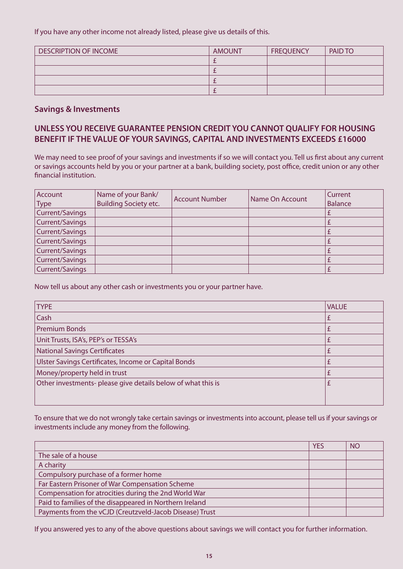If you have any other income not already listed, please give us details of this.

| <b>DESCRIPTION OF INCOME</b> | <b>AMOUNT</b> | <b>FREQUENCY</b> | PAID TO |
|------------------------------|---------------|------------------|---------|
|                              |               |                  |         |
|                              |               |                  |         |
|                              |               |                  |         |
|                              |               |                  |         |

### **Savings & Investments**

# **UNLESS YOU RECEIVE GUARANTEE PENSION CREDIT YOU CANNOT QUALIFY FOR HOUSING BENEFIT IF THE VALUE OF YOUR SAVINGS, CAPITAL AND INVESTMENTS EXCEEDS £16000**

We may need to see proof of your savings and investments if so we will contact you. Tell us first about any current or savings accounts held by you or your partner at a bank, building society, post office, credit union or any other financial institution.

| Account<br><b>Type</b> | Name of your Bank/<br><b>Building Society etc.</b> | <b>Account Number</b> | Name On Account | <b>Current</b><br><b>Balance</b> |
|------------------------|----------------------------------------------------|-----------------------|-----------------|----------------------------------|
| Current/Savings        |                                                    |                       |                 |                                  |
| Current/Savings        |                                                    |                       |                 |                                  |
| Current/Savings        |                                                    |                       |                 |                                  |
| Current/Savings        |                                                    |                       |                 |                                  |
| Current/Savings        |                                                    |                       |                 |                                  |
| Current/Savings        |                                                    |                       |                 |                                  |
| Current/Savings        |                                                    |                       |                 |                                  |

Now tell us about any other cash or investments you or your partner have.

| <b>TYPE</b>                                                  | <b>VALUE</b> |
|--------------------------------------------------------------|--------------|
| Cash                                                         |              |
| <b>Premium Bonds</b>                                         |              |
| Unit Trusts, ISA's, PEP's or TESSA's                         |              |
| National Savings Certificates                                |              |
| Ulster Savings Certificates, Income or Capital Bonds         |              |
| Money/property held in trust                                 |              |
| Other investments- please give details below of what this is |              |
|                                                              |              |

To ensure that we do not wrongly take certain savings or investments into account, please tell us if your savings or investments include any money from the following.

|                                                         | <b>YES</b> | <b>NO</b> |
|---------------------------------------------------------|------------|-----------|
| The sale of a house                                     |            |           |
| A charity                                               |            |           |
| Compulsory purchase of a former home                    |            |           |
| Far Eastern Prisoner of War Compensation Scheme         |            |           |
| Compensation for atrocities during the 2nd World War    |            |           |
| Paid to families of the disappeared in Northern Ireland |            |           |
| Payments from the vCJD (Creutzveld-Jacob Disease) Trust |            |           |

If you answered yes to any of the above questions about savings we will contact you for further information.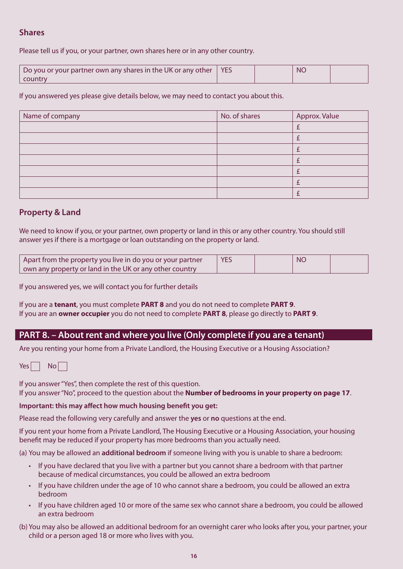# **Shares**

Please tell us if you, or your partner, own shares here or in any other country.

| Do you or your partner own any shares in the UK or any other   YES |  | <b>NC</b> |  |
|--------------------------------------------------------------------|--|-----------|--|
| country                                                            |  |           |  |

If you answered yes please give details below, we may need to contact you about this.

| Name of company | No. of shares | Approx. Value |
|-----------------|---------------|---------------|
|                 |               |               |
|                 |               |               |
|                 |               |               |
|                 |               |               |
|                 |               |               |
|                 |               |               |
|                 |               |               |

## **Property & Land**

We need to know if you, or your partner, own property or land in this or any other country. You should still answer yes if there is a mortgage or loan outstanding on the property or land.

| Apart from the property you live in do you or your partner      | <b>YES</b> | <b>NC</b> |  |
|-----------------------------------------------------------------|------------|-----------|--|
| $\vert$ own any property or land in the UK or any other country |            |           |  |

If you answered yes, we will contact you for further details

If you are a **tenant**, you must complete **PART 8** and you do not need to complete **PART 9**. If you are an **owner occupier** you do not need to complete **PART 8**, please go directly to **PART 9**.

# **PART 8. – About rent and where you live (Only complete if you are a tenant)**

Are you renting your home from a Private Landlord, the Housing Executive or a Housing Association?

| Yes |  | Nol |  |
|-----|--|-----|--|
|-----|--|-----|--|

If you answer "Yes", then complete the rest of this question. If you answer "No", proceed to the question about the **Number of bedrooms in your property on page 17**.

#### **Important: this may affect how much housing benefit you get:**

Please read the following very carefully and answer the **yes** or **no** questions at the end.

If you rent your home from a Private Landlord, The Housing Executive or a Housing Association, your housing benefit may be reduced if your property has more bedrooms than you actually need.

(a) You may be allowed an **additional bedroom** if someone living with you is unable to share a bedroom:

- • If you have declared that you live with a partner but you cannot share a bedroom with that partner because of medical circumstances, you could be allowed an extra bedroom
- • If you have children under the age of 10 who cannot share a bedroom, you could be allowed an extra bedroom
- • If you have children aged 10 or more of the same sex who cannot share a bedroom, you could be allowed an extra bedroom
- (b) You may also be allowed an additional bedroom for an overnight carer who looks after you, your partner, your child or a person aged 18 or more who lives with you.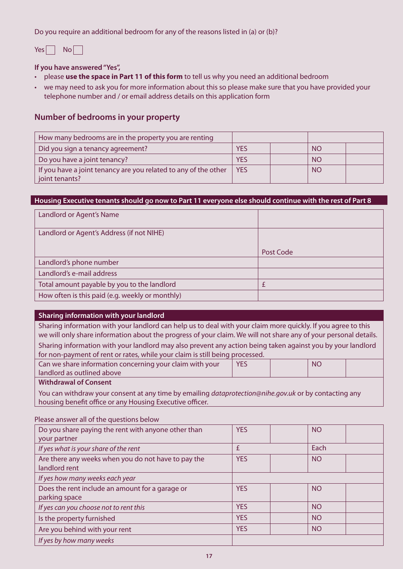Do you require an additional bedroom for any of the reasons listed in (a) or (b)?

 $Yes \Box No \Box$ 

**If you have answered "Yes",** 

- **please use the space in Part 11 of this form** to tell us why you need an additional bedroom
- • we may need to ask you for more information about this so please make sure that you have provided your telephone number and / or email address details on this application form

## **Number of bedrooms in your property**

| How many bedrooms are in the property you are renting           |            |           |  |
|-----------------------------------------------------------------|------------|-----------|--|
| Did you sign a tenancy agreement?                               | YES        | <b>NO</b> |  |
| Do you have a joint tenancy?                                    | <b>YES</b> | <b>NO</b> |  |
| If you have a joint tenancy are you related to any of the other | <b>YES</b> | <b>NO</b> |  |
| joint tenants?                                                  |            |           |  |

#### **Housing Executive tenants should go now to Part 11 everyone else should continue with the rest of Part 8**

| Landlord or Agent's Name                        |           |
|-------------------------------------------------|-----------|
| Landlord or Agent's Address (if not NIHE)       |           |
|                                                 | Post Code |
| Landlord's phone number                         |           |
| Landlord's e-mail address                       |           |
| Total amount payable by you to the landlord     | f         |
| How often is this paid (e.g. weekly or monthly) |           |

#### **Sharing information with your landlord**

Sharing information with your landlord can help us to deal with your claim more quickly. If you agree to this we will only share information about the progress of your claim. We will not share any of your personal details. Sharing information with your landlord may also prevent any action being taken against you by your landlord for non-payment of rent or rates, while your claim is still being processed.

| Can we share information concerning your claim with your | <b>YES</b> | <b>NO</b> |  |
|----------------------------------------------------------|------------|-----------|--|
| landlord as outlined above                               |            |           |  |
| Alliabeduaries af Camaama                                |            |           |  |

**Withdrawal of Consent** 

You can withdraw your consent at any time by emailing *dataprotection@nihe.gov.uk* or by contacting any housing benefit office or any Housing Executive officer.

| r rease answer an or the gaestrons below                             |            |           |
|----------------------------------------------------------------------|------------|-----------|
| Do you share paying the rent with anyone other than<br>your partner  | <b>YES</b> | <b>NO</b> |
| If yes what is your share of the rent                                | £          | Each      |
| Are there any weeks when you do not have to pay the<br>landlord rent | <b>YES</b> | <b>NO</b> |
| If yes how many weeks each year                                      |            |           |
| Does the rent include an amount for a garage or<br>parking space     | <b>YES</b> | <b>NO</b> |
| If yes can you choose not to rent this                               | <b>YES</b> | <b>NO</b> |
| Is the property furnished                                            | <b>YES</b> | <b>NO</b> |
| Are you behind with your rent                                        | <b>YES</b> | <b>NO</b> |
| If yes by how many weeks                                             |            |           |

Please answer all of the questions below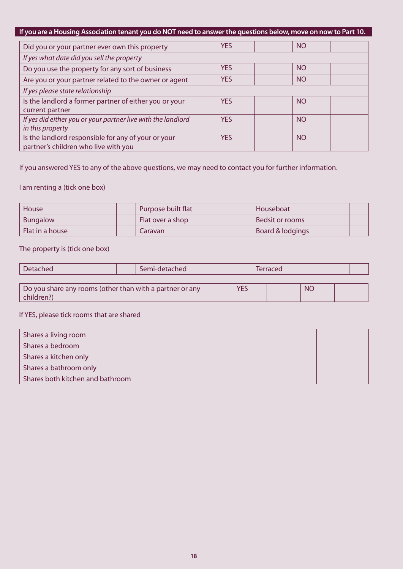# **If you are a Housing Association tenant you do NOT need to answer the questions below, move on now to Part 10.**

| Did you or your partner ever own this property               | <b>YES</b> | <b>NO</b> |  |
|--------------------------------------------------------------|------------|-----------|--|
| If yes what date did you sell the property                   |            |           |  |
| Do you use the property for any sort of business             | <b>YES</b> | <b>NO</b> |  |
| Are you or your partner related to the owner or agent        | <b>YES</b> | <b>NO</b> |  |
| If yes please state relationship                             |            |           |  |
| Is the landlord a former partner of either you or your       | <b>YES</b> | <b>NO</b> |  |
| current partner                                              |            |           |  |
| If yes did either you or your partner live with the landlord | <b>YES</b> | <b>NO</b> |  |
| in this property                                             |            |           |  |
| Is the landlord responsible for any of your or your          | <b>YES</b> | <b>NO</b> |  |
| partner's children who live with you                         |            |           |  |

If you answered YES to any of the above questions, we may need to contact you for further information.

## I am renting a (tick one box)

| House           | Purpose built flat | Houseboat        |  |
|-----------------|--------------------|------------------|--|
| Bungalow        | Flat over a shop   | Bedsit or rooms  |  |
| Flat in a house | Caravan            | Board & lodgings |  |

#### The property is (tick one box)

children?)

| Detached                                                 | Semi-detached |  | Terraced |           |  |
|----------------------------------------------------------|---------------|--|----------|-----------|--|
|                                                          |               |  |          |           |  |
| Do you share any rooms (other than with a partner or any |               |  |          | <b>NO</b> |  |

### If YES, please tick rooms that are shared

| Shares a living room             |  |
|----------------------------------|--|
| Shares a bedroom                 |  |
| Shares a kitchen only            |  |
| Shares a bathroom only           |  |
| Shares both kitchen and bathroom |  |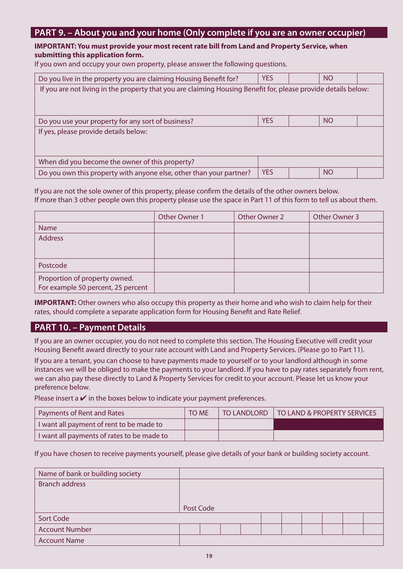# **PART 9. – About you and your home (Only complete if you are an owner occupier)**

#### **IMPORTANT: You must provide your most recent rate bill from Land and Property Service, when submitting this application form.**

If you own and occupy your own property, please answer the following questions.

| Do you live in the property you are claiming Housing Benefit for?                                              | <b>YES</b> |  | <b>NO</b> |  |  |  |  |
|----------------------------------------------------------------------------------------------------------------|------------|--|-----------|--|--|--|--|
| If you are not living in the property that you are claiming Housing Benefit for, please provide details below: |            |  |           |  |  |  |  |
|                                                                                                                |            |  |           |  |  |  |  |
|                                                                                                                |            |  |           |  |  |  |  |
| Do you use your property for any sort of business?                                                             | <b>YES</b> |  | <b>NO</b> |  |  |  |  |
| If yes, please provide details below:                                                                          |            |  |           |  |  |  |  |
|                                                                                                                |            |  |           |  |  |  |  |
|                                                                                                                |            |  |           |  |  |  |  |
| When did you become the owner of this property?                                                                |            |  |           |  |  |  |  |
| Do you own this property with anyone else, other than your partner?                                            | <b>YES</b> |  | <b>NO</b> |  |  |  |  |

If you are not the sole owner of this property, please confirm the details of the other owners below. If more than 3 other people own this property please use the space in Part 11 of this form to tell us about them.

|                                                                     | Other Owner 1 | Other Owner 2 | Other Owner 3 |
|---------------------------------------------------------------------|---------------|---------------|---------------|
| Name                                                                |               |               |               |
| <b>Address</b>                                                      |               |               |               |
|                                                                     |               |               |               |
| Postcode                                                            |               |               |               |
| Proportion of property owned.<br>For example 50 percent, 25 percent |               |               |               |

**IMPORTANT:** Other owners who also occupy this property as their home and who wish to claim help for their rates, should complete a separate application form for Housing Benefit and Rate Relief.

# **PART 10. – Payment Details**

If you are an owner occupier, you do not need to complete this section. The Housing Executive will credit your Housing Benefit award directly to your rate account with Land and Property Services. (Please go to Part 11).

If you are a tenant, you can choose to have payments made to yourself or to your landlord although in some instances we will be obliged to make the payments to your landlord. If you have to pay rates separately from rent, we can also pay these directly to Land & Property Services for credit to your account. Please let us know your preference below.

Please insert a  $\vee$  in the boxes below to indicate your payment preferences.

| Payments of Rent and Rates                 | <b>TO ME</b> | TO LANDLORD   TO LAND & PROPERTY SERVICES |
|--------------------------------------------|--------------|-------------------------------------------|
| I want all payment of rent to be made to   |              |                                           |
| I want all payments of rates to be made to |              |                                           |

If you have chosen to receive payments yourself, please give details of your bank or building society account.

| Name of bank or building society |           |  |  |  |  |  |
|----------------------------------|-----------|--|--|--|--|--|
| <b>Branch address</b>            |           |  |  |  |  |  |
|                                  |           |  |  |  |  |  |
|                                  | Post Code |  |  |  |  |  |
| <b>Sort Code</b>                 |           |  |  |  |  |  |
| <b>Account Number</b>            |           |  |  |  |  |  |
| <b>Account Name</b>              |           |  |  |  |  |  |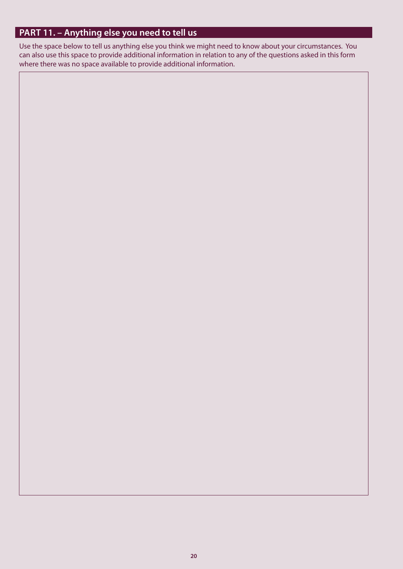# **PART 11. – Anything else you need to tell us**

Use the space below to tell us anything else you think we might need to know about your circumstances. You can also use this space to provide additional information in relation to any of the questions asked in this form where there was no space available to provide additional information.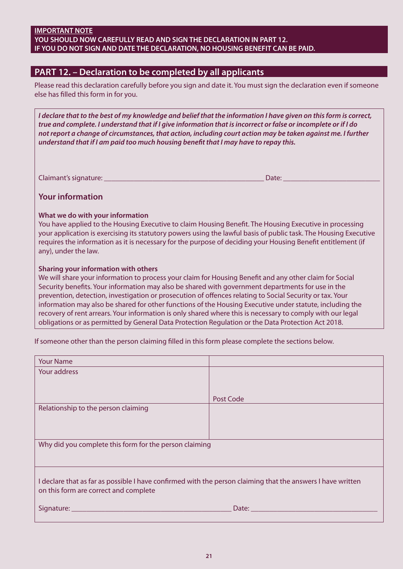| <b>IMPORTANT NOTE</b>                                                        |
|------------------------------------------------------------------------------|
| YOU SHOULD NOW CAREFULLY READ AND SIGN THE DECLARATION IN PART 12.           |
| IF YOU DO NOT SIGN AND DATE THE DECLARATION. NO HOUSING BENEFIT CAN BE PAID. |

# **PART 12. – Declaration to be completed by all applicants**

Please read this declaration carefully before you sign and date it. You must sign the declaration even if someone else has filled this form in for you.

*I declare that to the best of my knowledge and belief that the information I have given on this form is correct, true and complete. I understand that if I give information that is incorrect or false or incomplete or if I do not report a change of circumstances, that action, including court action may be taken against me. I further understand that if I am paid too much housing benefit that I may have to repay this.* 

Claimant's signature: \_\_\_\_\_\_\_\_\_\_\_\_\_\_\_\_\_\_\_\_\_\_\_\_\_\_\_\_\_\_\_\_\_\_\_\_\_\_\_\_\_\_\_ Date: \_\_\_\_\_\_\_\_\_\_\_\_\_\_\_\_\_\_\_\_\_\_\_\_\_\_

#### **Your information**

#### **What we do with your information**

You have applied to the Housing Executive to claim Housing Benefit. The Housing Executive in processing your application is exercising its statutory powers using the lawful basis of public task. The Housing Executive requires the information as it is necessary for the purpose of deciding your Housing Benefit entitlement (if any), under the law.

#### **Sharing your information with others**

We will share your information to process your claim for Housing Benefit and any other claim for Social Security benefits. Your information may also be shared with government departments for use in the prevention, detection, investigation or prosecution of offences relating to Social Security or tax. Your information may also be shared for other functions of the Housing Executive under statute, including the recovery of rent arrears. Your information is only shared where this is necessary to comply with our legal obligations or as permitted by General Data Protection Regulation or the Data Protection Act 2018.

If someone other than the person claiming filled in this form please complete the sections below.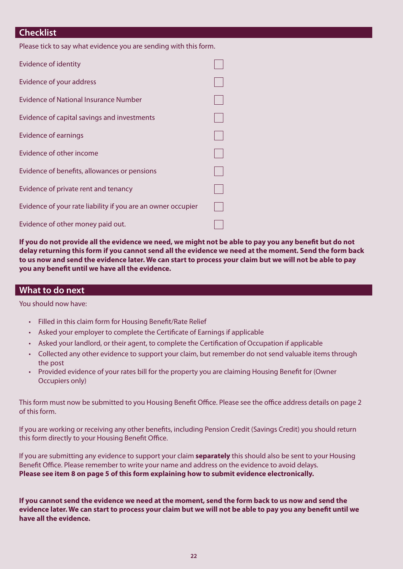# **Checklist**

| Evidence of identity                                         |  |
|--------------------------------------------------------------|--|
| Evidence of your address                                     |  |
| <b>Evidence of National Insurance Number</b>                 |  |
| Evidence of capital savings and investments                  |  |
| Evidence of earnings                                         |  |
| Evidence of other income                                     |  |
| Evidence of benefits, allowances or pensions                 |  |
| Evidence of private rent and tenancy                         |  |
| Evidence of your rate liability if you are an owner occupier |  |
| Evidence of other money paid out.                            |  |

**If you do not provide all the evidence we need, we might not be able to pay you any benefit but do not delay returning this form if you cannot send all the evidence we need at the moment. Send the form back to us now and send the evidence later. We can start to process your claim but we will not be able to pay you any benefit until we have all the evidence.** 

#### **What to do next**

You should now have:

- • Filled in this claim form for Housing Benefit/Rate Relief
- Asked your employer to complete the Certificate of Earnings if applicable
- • Asked your landlord, or their agent, to complete the Certification of Occupation if applicable
- • Collected any other evidence to support your claim, but remember do not send valuable items through the post
- • Provided evidence of your rates bill for the property you are claiming Housing Benefit for (Owner Occupiers only)

This form must now be submitted to you Housing Benefit Office. Please see the office address details on page 2 of this form.

If you are working or receiving any other benefits, including Pension Credit (Savings Credit) you should return this form directly to your Housing Benefit Office.

If you are submitting any evidence to support your claim **separately** this should also be sent to your Housing Benefit Office. Please remember to write your name and address on the evidence to avoid delays. **Please see item 8 on page 5 of this form explaining how to submit evidence electronically.** 

**If you cannot send the evidence we need at the moment, send the form back to us now and send the evidence later. We can start to process your claim but we will not be able to pay you any benefit until we have all the evidence.**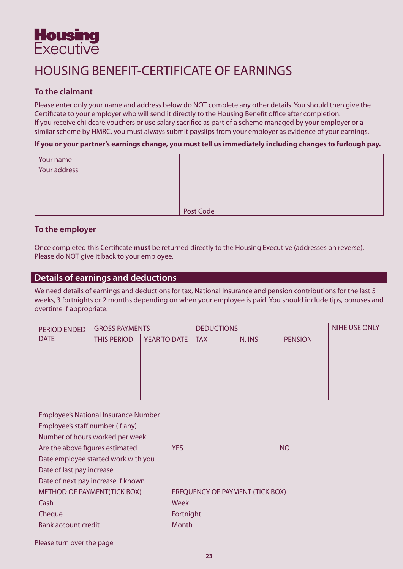# **Housing Executive**

# HOUSING BENEFIT-CERTIFICATE OF EARNINGS

# **To the claimant**

Please enter only your name and address below do NOT complete any other details. You should then give the Certificate to your employer who will send it directly to the Housing Benefit office after completion. If you receive childcare vouchers or use salary sacrifice as part of a scheme managed by your employer or a similar scheme by HMRC, you must always submit payslips from your employer as evidence of your earnings.

#### **If you or your partner's earnings change, you must tell us immediately including changes to furlough pay.**

| Your name    |           |
|--------------|-----------|
| Your address |           |
|              |           |
|              |           |
|              |           |
|              | Post Code |

## **To the employer**

Once completed this Certificate **must** be returned directly to the Housing Executive (addresses on reverse). Please do NOT give it back to your employee.

# **Details of earnings and deductions**

We need details of earnings and deductions for tax, National Insurance and pension contributions for the last 5 weeks, 3 fortnights or 2 months depending on when your employee is paid. You should include tips, bonuses and overtime if appropriate.

| PERIOD ENDED | <b>GROSS PAYMENTS</b> |                    | <b>DEDUCTIONS</b> | NIHE USE ONLY |                |  |
|--------------|-----------------------|--------------------|-------------------|---------------|----------------|--|
| <b>DATE</b>  | THIS PERIOD           | YEAR TO DATE   TAX |                   | N. INS        | <b>PENSION</b> |  |
|              |                       |                    |                   |               |                |  |
|              |                       |                    |                   |               |                |  |
|              |                       |                    |                   |               |                |  |
|              |                       |                    |                   |               |                |  |
|              |                       |                    |                   |               |                |  |

| <b>Employee's National Insurance Number</b> |  |            |  |                                        |  |           |  |  |  |
|---------------------------------------------|--|------------|--|----------------------------------------|--|-----------|--|--|--|
| Employee's staff number (if any)            |  |            |  |                                        |  |           |  |  |  |
| Number of hours worked per week             |  |            |  |                                        |  |           |  |  |  |
| Are the above figures estimated             |  | <b>YES</b> |  |                                        |  | <b>NO</b> |  |  |  |
| Date employee started work with you         |  |            |  |                                        |  |           |  |  |  |
| Date of last pay increase                   |  |            |  |                                        |  |           |  |  |  |
| Date of next pay increase if known          |  |            |  |                                        |  |           |  |  |  |
| METHOD OF PAYMENT(TICK BOX)                 |  |            |  | <b>FREQUENCY OF PAYMENT (TICK BOX)</b> |  |           |  |  |  |
| Cash                                        |  | Week       |  |                                        |  |           |  |  |  |
| Cheque                                      |  | Fortnight  |  |                                        |  |           |  |  |  |
| <b>Bank account credit</b>                  |  | Month      |  |                                        |  |           |  |  |  |

Please turn over the page